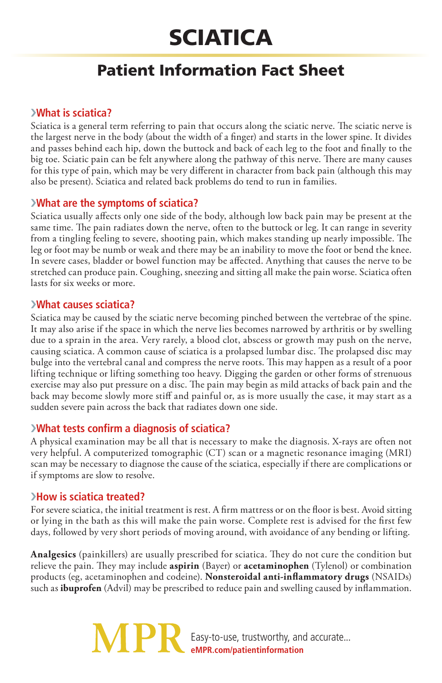# **SCIATICA**

# Patient Information Fact Sheet

# ›**What is sciatica?**

Sciatica is a general term referring to pain that occurs along the sciatic nerve. The sciatic nerve is the largest nerve in the body (about the width of a finger) and starts in the lower spine. It divides and passes behind each hip, down the buttock and back of each leg to the foot and finally to the big toe. Sciatic pain can be felt anywhere along the pathway of this nerve. There are many causes for this type of pain, which may be very different in character from back pain (although this may also be present). Sciatica and related back problems do tend to run in families.

# ›**What are the symptoms of sciatica?**

Sciatica usually affects only one side of the body, although low back pain may be present at the same time. The pain radiates down the nerve, often to the buttock or leg. It can range in severity from a tingling feeling to severe, shooting pain, which makes standing up nearly impossible. The leg or foot may be numb or weak and there may be an inability to move the foot or bend the knee. In severe cases, bladder or bowel function may be affected. Anything that causes the nerve to be stretched can produce pain. Coughing, sneezing and sitting all make the pain worse. Sciatica often lasts for six weeks or more.

#### ›**What causes sciatica?**

Sciatica may be caused by the sciatic nerve becoming pinched between the vertebrae of the spine. It may also arise if the space in which the nerve lies becomes narrowed by arthritis or by swelling due to a sprain in the area. Very rarely, a blood clot, abscess or growth may push on the nerve, causing sciatica. A common cause of sciatica is a prolapsed lumbar disc. The prolapsed disc may bulge into the vertebral canal and compress the nerve roots. This may happen as a result of a poor lifting technique or lifting something too heavy. Digging the garden or other forms of strenuous exercise may also put pressure on a disc. The pain may begin as mild attacks of back pain and the back may become slowly more stiff and painful or, as is more usually the case, it may start as a sudden severe pain across the back that radiates down one side.

# ›**What tests confirm a diagnosis of sciatica?**

A physical examination may be all that is necessary to make the diagnosis. X-rays are often not very helpful. A computerized tomographic (CT) scan or a magnetic resonance imaging (MRI) scan may be necessary to diagnose the cause of the sciatica, especially if there are complications or if symptoms are slow to resolve.

# ›**How is sciatica treated?**

For severe sciatica, the initial treatment is rest. A firm mattress or on the floor is best. Avoid sitting or lying in the bath as this will make the pain worse. Complete rest is advised for the first few days, followed by very short periods of moving around, with avoidance of any bending or lifting.

**Analgesics** (painkillers) are usually prescribed for sciatica. They do not cure the condition but relieve the pain. They may include **aspirin** (Bayer) or **acetaminophen** (Tylenol) or combination products (eg, acetaminophen and codeine). **Nonsteroidal anti-inflammatory drugs** (NSAIDs) such as **ibuprofen** (Advil) may be prescribed to reduce pain and swelling caused by inflammation.

> **MP** Easy-to-use, trustworthy, and accurate... **eMPR.com/patientinformation**